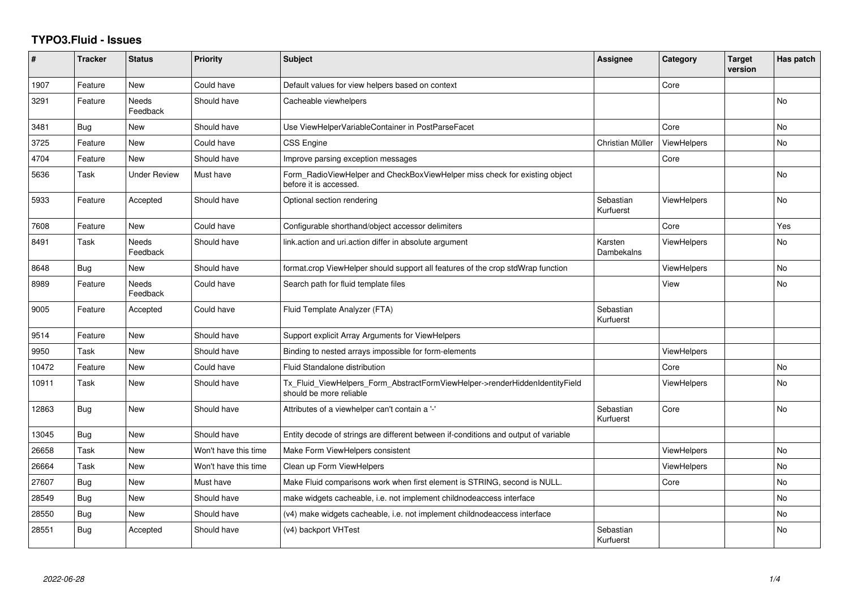## **TYPO3.Fluid - Issues**

| #     | <b>Tracker</b> | <b>Status</b>            | Priority             | Subject                                                                                                | <b>Assignee</b>        | Category           | <b>Target</b><br>version | Has patch |
|-------|----------------|--------------------------|----------------------|--------------------------------------------------------------------------------------------------------|------------------------|--------------------|--------------------------|-----------|
| 1907  | Feature        | <b>New</b>               | Could have           | Default values for view helpers based on context                                                       |                        | Core               |                          |           |
| 3291  | Feature        | Needs<br>Feedback        | Should have          | Cacheable viewhelpers                                                                                  |                        |                    |                          | <b>No</b> |
| 3481  | Bug            | New                      | Should have          | Use ViewHelperVariableContainer in PostParseFacet                                                      |                        | Core               |                          | <b>No</b> |
| 3725  | Feature        | New                      | Could have           | <b>CSS Engine</b>                                                                                      | Christian Müller       | ViewHelpers        |                          | <b>No</b> |
| 4704  | Feature        | New                      | Should have          | Improve parsing exception messages                                                                     |                        | Core               |                          |           |
| 5636  | Task           | <b>Under Review</b>      | Must have            | Form_RadioViewHelper and CheckBoxViewHelper miss check for existing object<br>before it is accessed.   |                        |                    |                          | No        |
| 5933  | Feature        | Accepted                 | Should have          | Optional section rendering                                                                             | Sebastian<br>Kurfuerst | <b>ViewHelpers</b> |                          | <b>No</b> |
| 7608  | Feature        | New                      | Could have           | Configurable shorthand/object accessor delimiters                                                      |                        | Core               |                          | Yes       |
| 8491  | <b>Task</b>    | <b>Needs</b><br>Feedback | Should have          | link.action and uri.action differ in absolute argument                                                 | Karsten<br>Dambekalns  | <b>ViewHelpers</b> |                          | No        |
| 8648  | Bug            | New                      | Should have          | format.crop ViewHelper should support all features of the crop stdWrap function                        |                        | ViewHelpers        |                          | <b>No</b> |
| 8989  | Feature        | <b>Needs</b><br>Feedback | Could have           | Search path for fluid template files                                                                   |                        | View               |                          | <b>No</b> |
| 9005  | Feature        | Accepted                 | Could have           | Fluid Template Analyzer (FTA)                                                                          | Sebastian<br>Kurfuerst |                    |                          |           |
| 9514  | Feature        | <b>New</b>               | Should have          | Support explicit Array Arguments for ViewHelpers                                                       |                        |                    |                          |           |
| 9950  | Task           | New                      | Should have          | Binding to nested arrays impossible for form-elements                                                  |                        | ViewHelpers        |                          |           |
| 10472 | Feature        | New                      | Could have           | Fluid Standalone distribution                                                                          |                        | Core               |                          | No        |
| 10911 | Task           | New                      | Should have          | Tx_Fluid_ViewHelpers_Form_AbstractFormViewHelper->renderHiddenIdentityField<br>should be more reliable |                        | <b>ViewHelpers</b> |                          | <b>No</b> |
| 12863 | <b>Bug</b>     | New                      | Should have          | Attributes of a viewhelper can't contain a '-'                                                         | Sebastian<br>Kurfuerst | Core               |                          | <b>No</b> |
| 13045 | Bug            | New                      | Should have          | Entity decode of strings are different between if-conditions and output of variable                    |                        |                    |                          |           |
| 26658 | Task           | New                      | Won't have this time | Make Form ViewHelpers consistent                                                                       |                        | <b>ViewHelpers</b> |                          | <b>No</b> |
| 26664 | Task           | New                      | Won't have this time | Clean up Form ViewHelpers                                                                              |                        | <b>ViewHelpers</b> |                          | No        |
| 27607 | Bug            | New                      | Must have            | Make Fluid comparisons work when first element is STRING, second is NULL.                              |                        | Core               |                          | <b>No</b> |
| 28549 | <b>Bug</b>     | New                      | Should have          | make widgets cacheable, i.e. not implement childnodeaccess interface                                   |                        |                    |                          | No        |
| 28550 | Bug            | New                      | Should have          | (v4) make widgets cacheable, i.e. not implement childnodeaccess interface                              |                        |                    |                          | <b>No</b> |
| 28551 | Bug            | Accepted                 | Should have          | (v4) backport VHTest                                                                                   | Sebastian<br>Kurfuerst |                    |                          | No        |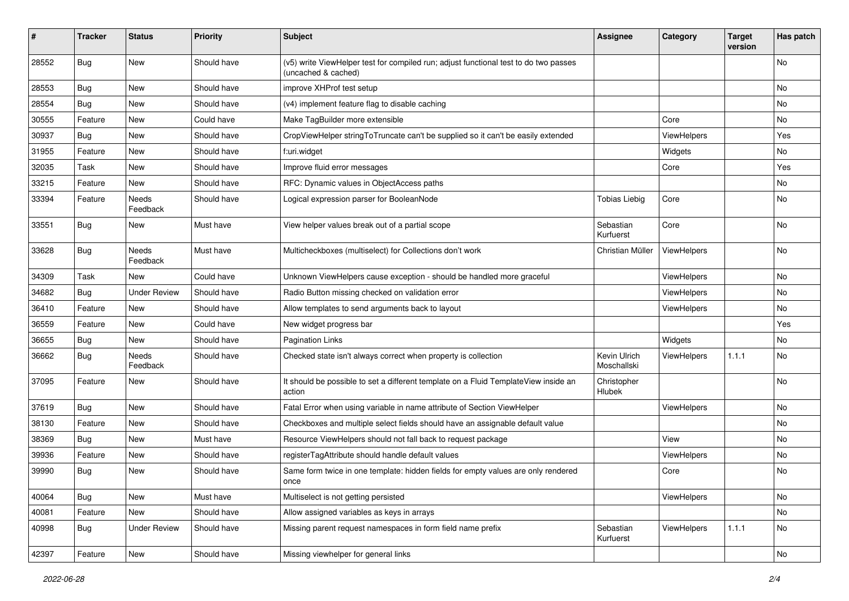| ∦     | <b>Tracker</b> | <b>Status</b>            | <b>Priority</b> | <b>Subject</b>                                                                                              | <b>Assignee</b>             | Category           | <b>Target</b><br>version | Has patch |
|-------|----------------|--------------------------|-----------------|-------------------------------------------------------------------------------------------------------------|-----------------------------|--------------------|--------------------------|-----------|
| 28552 | Bug            | New                      | Should have     | (v5) write ViewHelper test for compiled run; adjust functional test to do two passes<br>(uncached & cached) |                             |                    |                          | No        |
| 28553 | <b>Bug</b>     | New                      | Should have     | improve XHProf test setup                                                                                   |                             |                    |                          | No        |
| 28554 | Bug            | New                      | Should have     | (v4) implement feature flag to disable caching                                                              |                             |                    |                          | No        |
| 30555 | Feature        | New                      | Could have      | Make TagBuilder more extensible                                                                             |                             | Core               |                          | No        |
| 30937 | Bug            | <b>New</b>               | Should have     | CropViewHelper stringToTruncate can't be supplied so it can't be easily extended                            |                             | ViewHelpers        |                          | Yes       |
| 31955 | Feature        | New                      | Should have     | f:uri.widget                                                                                                |                             | Widgets            |                          | No        |
| 32035 | Task           | New                      | Should have     | Improve fluid error messages                                                                                |                             | Core               |                          | Yes       |
| 33215 | Feature        | New                      | Should have     | RFC: Dynamic values in ObjectAccess paths                                                                   |                             |                    |                          | No        |
| 33394 | Feature        | Needs<br>Feedback        | Should have     | Logical expression parser for BooleanNode                                                                   | <b>Tobias Liebig</b>        | Core               |                          | No        |
| 33551 | Bug            | New                      | Must have       | View helper values break out of a partial scope                                                             | Sebastian<br>Kurfuerst      | Core               |                          | No        |
| 33628 | Bug            | <b>Needs</b><br>Feedback | Must have       | Multicheckboxes (multiselect) for Collections don't work                                                    | Christian Müller            | ViewHelpers        |                          | No.       |
| 34309 | Task           | New                      | Could have      | Unknown ViewHelpers cause exception - should be handled more graceful                                       |                             | ViewHelpers        |                          | No.       |
| 34682 | Bug            | <b>Under Review</b>      | Should have     | Radio Button missing checked on validation error                                                            |                             | ViewHelpers        |                          | No        |
| 36410 | Feature        | New                      | Should have     | Allow templates to send arguments back to layout                                                            |                             | <b>ViewHelpers</b> |                          | No        |
| 36559 | Feature        | New                      | Could have      | New widget progress bar                                                                                     |                             |                    |                          | Yes       |
| 36655 | Bug            | <b>New</b>               | Should have     | <b>Pagination Links</b>                                                                                     |                             | Widgets            |                          | No.       |
| 36662 | <b>Bug</b>     | Needs<br>Feedback        | Should have     | Checked state isn't always correct when property is collection                                              | Kevin Ulrich<br>Moschallski | ViewHelpers        | 1.1.1                    | No        |
| 37095 | Feature        | New                      | Should have     | It should be possible to set a different template on a Fluid TemplateView inside an<br>action               | Christopher<br>Hlubek       |                    |                          | No        |
| 37619 | Bug            | New                      | Should have     | Fatal Error when using variable in name attribute of Section ViewHelper                                     |                             | ViewHelpers        |                          | No        |
| 38130 | Feature        | New                      | Should have     | Checkboxes and multiple select fields should have an assignable default value                               |                             |                    |                          | No        |
| 38369 | Bug            | New                      | Must have       | Resource ViewHelpers should not fall back to request package                                                |                             | View               |                          | No        |
| 39936 | Feature        | New                      | Should have     | registerTagAttribute should handle default values                                                           |                             | ViewHelpers        |                          | No        |
| 39990 | Bug            | New                      | Should have     | Same form twice in one template: hidden fields for empty values are only rendered<br>once                   |                             | Core               |                          | No        |
| 40064 | Bug            | New                      | Must have       | Multiselect is not getting persisted                                                                        |                             | ViewHelpers        |                          | No        |
| 40081 | Feature        | New                      | Should have     | Allow assigned variables as keys in arrays                                                                  |                             |                    |                          | No        |
| 40998 | <b>Bug</b>     | <b>Under Review</b>      | Should have     | Missing parent request namespaces in form field name prefix                                                 | Sebastian<br>Kurfuerst      | ViewHelpers        | 1.1.1                    | No        |
| 42397 | Feature        | New                      | Should have     | Missing viewhelper for general links                                                                        |                             |                    |                          | No        |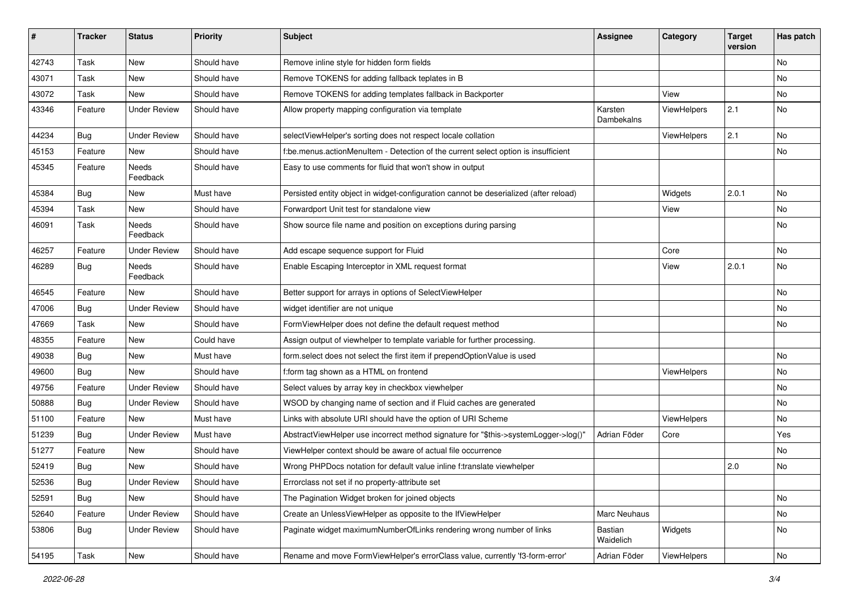| #     | <b>Tracker</b> | <b>Status</b>       | <b>Priority</b> | <b>Subject</b>                                                                        | <b>Assignee</b>       | Category    | <b>Target</b><br>version | Has patch |
|-------|----------------|---------------------|-----------------|---------------------------------------------------------------------------------------|-----------------------|-------------|--------------------------|-----------|
| 42743 | Task           | New                 | Should have     | Remove inline style for hidden form fields                                            |                       |             |                          | No        |
| 43071 | Task           | New                 | Should have     | Remove TOKENS for adding fallback teplates in B                                       |                       |             |                          | No        |
| 43072 | Task           | New                 | Should have     | Remove TOKENS for adding templates fallback in Backporter                             |                       | View        |                          | No        |
| 43346 | Feature        | <b>Under Review</b> | Should have     | Allow property mapping configuration via template                                     | Karsten<br>Dambekalns | ViewHelpers | 2.1                      | No        |
| 44234 | <b>Bug</b>     | <b>Under Review</b> | Should have     | selectViewHelper's sorting does not respect locale collation                          |                       | ViewHelpers | 2.1                      | No.       |
| 45153 | Feature        | New                 | Should have     | f:be.menus.actionMenuItem - Detection of the current select option is insufficient    |                       |             |                          | No        |
| 45345 | Feature        | Needs<br>Feedback   | Should have     | Easy to use comments for fluid that won't show in output                              |                       |             |                          |           |
| 45384 | Bug            | New                 | Must have       | Persisted entity object in widget-configuration cannot be deserialized (after reload) |                       | Widgets     | 2.0.1                    | No.       |
| 45394 | Task           | New                 | Should have     | Forwardport Unit test for standalone view                                             |                       | View        |                          | No        |
| 46091 | Task           | Needs<br>Feedback   | Should have     | Show source file name and position on exceptions during parsing                       |                       |             |                          | No        |
| 46257 | Feature        | <b>Under Review</b> | Should have     | Add escape sequence support for Fluid                                                 |                       | Core        |                          | No.       |
| 46289 | <b>Bug</b>     | Needs<br>Feedback   | Should have     | Enable Escaping Interceptor in XML request format                                     |                       | View        | 2.0.1                    | No        |
| 46545 | Feature        | New                 | Should have     | Better support for arrays in options of SelectViewHelper                              |                       |             |                          | No        |
| 47006 | <b>Bug</b>     | <b>Under Review</b> | Should have     | widget identifier are not unique                                                      |                       |             |                          | No        |
| 47669 | Task           | New                 | Should have     | FormViewHelper does not define the default request method                             |                       |             |                          | No        |
| 48355 | Feature        | New                 | Could have      | Assign output of viewhelper to template variable for further processing.              |                       |             |                          |           |
| 49038 | <b>Bug</b>     | New                 | Must have       | form select does not select the first item if prependOptionValue is used              |                       |             |                          | No        |
| 49600 | <b>Bug</b>     | <b>New</b>          | Should have     | f:form tag shown as a HTML on frontend                                                |                       | ViewHelpers |                          | No        |
| 49756 | Feature        | <b>Under Review</b> | Should have     | Select values by array key in checkbox viewhelper                                     |                       |             |                          | No        |
| 50888 | Bug            | Under Review        | Should have     | WSOD by changing name of section and if Fluid caches are generated                    |                       |             |                          | No        |
| 51100 | Feature        | <b>New</b>          | Must have       | Links with absolute URI should have the option of URI Scheme                          |                       | ViewHelpers |                          | No        |
| 51239 | <b>Bug</b>     | <b>Under Review</b> | Must have       | AbstractViewHelper use incorrect method signature for "\$this->systemLogger->log()"   | Adrian Föder          | Core        |                          | Yes       |
| 51277 | Feature        | New                 | Should have     | ViewHelper context should be aware of actual file occurrence                          |                       |             |                          | No        |
| 52419 | <b>Bug</b>     | New                 | Should have     | Wrong PHPDocs notation for default value inline f:translate viewhelper                |                       |             | 2.0                      | No        |
| 52536 | <b>Bug</b>     | <b>Under Review</b> | Should have     | Errorclass not set if no property-attribute set                                       |                       |             |                          |           |
| 52591 | <b>Bug</b>     | New                 | Should have     | The Pagination Widget broken for joined objects                                       |                       |             |                          | No        |
| 52640 | Feature        | <b>Under Review</b> | Should have     | Create an UnlessViewHelper as opposite to the IfViewHelper                            | Marc Neuhaus          |             |                          | No        |
| 53806 | Bug            | <b>Under Review</b> | Should have     | Paginate widget maximumNumberOfLinks rendering wrong number of links                  | Bastian<br>Waidelich  | Widgets     |                          | No        |
| 54195 | Task           | New                 | Should have     | Rename and move FormViewHelper's errorClass value, currently 'f3-form-error'          | Adrian Föder          | ViewHelpers |                          | No        |